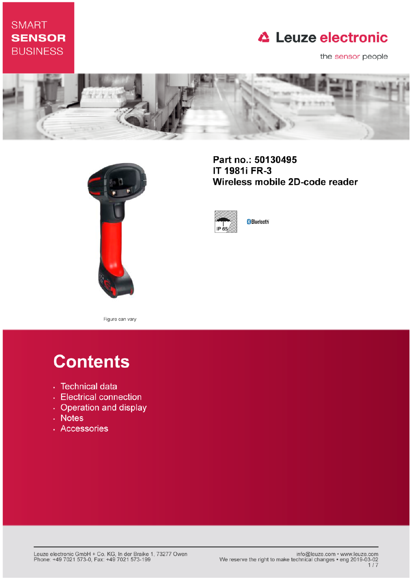# **SMART SENSOR BUSINESS**

# **△ Leuze electronic**

the sensor people





Part no.: 50130495 IT 1981i FR-3 Wireless mobile 2D-code reader



**Bluetooth** 

Figure can vary

# **Contents**

- · Technical data
- Electrical connection
- Operation and display
- Notes
- · Accessories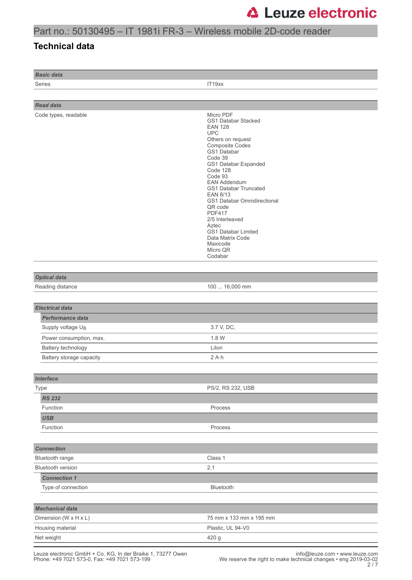## Part no.: 50130495 – IT 1981i FR-3 – Wireless mobile 2D-code reader

### **Technical data**

*Basic data*

Series **IT19xx** 

| <b>Read data</b>                                |                                                                                                                                                                                                                                                                                                                                                                                                                                         |
|-------------------------------------------------|-----------------------------------------------------------------------------------------------------------------------------------------------------------------------------------------------------------------------------------------------------------------------------------------------------------------------------------------------------------------------------------------------------------------------------------------|
| Code types, readable                            | Micro PDF<br>GS1 Databar Stacked<br><b>EAN 128</b><br><b>UPC</b><br>Others on request<br><b>Composite Codes</b><br>GS1 Databar<br>Code 39<br>GS1 Databar Expanded<br>Code 128<br>Code 93<br><b>EAN Addendum</b><br><b>GS1 Databar Truncated</b><br>EAN 8/13<br>GS1 Databar Omnidirectional<br>QR code<br><b>PDF417</b><br>2/5 Interleaved<br>Aztec<br><b>GS1 Databar Limited</b><br>Data Matrix Code<br>Maxicode<br>Micro QR<br>Codabar |
|                                                 |                                                                                                                                                                                                                                                                                                                                                                                                                                         |
| <b>Optical data</b><br>Reading distance         | 100  16,000 mm                                                                                                                                                                                                                                                                                                                                                                                                                          |
|                                                 |                                                                                                                                                                                                                                                                                                                                                                                                                                         |
|                                                 |                                                                                                                                                                                                                                                                                                                                                                                                                                         |
| <b>Electrical data</b>                          |                                                                                                                                                                                                                                                                                                                                                                                                                                         |
| Performance data                                |                                                                                                                                                                                                                                                                                                                                                                                                                                         |
| Supply voltage UB                               | 3.7 V, DC,                                                                                                                                                                                                                                                                                                                                                                                                                              |
| Power consumption, max.                         | 1.8 W                                                                                                                                                                                                                                                                                                                                                                                                                                   |
| Battery technology                              | Lilon                                                                                                                                                                                                                                                                                                                                                                                                                                   |
| Battery storage capacity                        | $2A \cdot h$                                                                                                                                                                                                                                                                                                                                                                                                                            |
|                                                 |                                                                                                                                                                                                                                                                                                                                                                                                                                         |
| <b>Interface</b>                                |                                                                                                                                                                                                                                                                                                                                                                                                                                         |
| Type                                            | PS/2, RS 232, USB                                                                                                                                                                                                                                                                                                                                                                                                                       |
| <b>RS 232</b>                                   |                                                                                                                                                                                                                                                                                                                                                                                                                                         |
| Function                                        | Process                                                                                                                                                                                                                                                                                                                                                                                                                                 |
| <b>USB</b>                                      |                                                                                                                                                                                                                                                                                                                                                                                                                                         |
| Function                                        | Process                                                                                                                                                                                                                                                                                                                                                                                                                                 |
|                                                 |                                                                                                                                                                                                                                                                                                                                                                                                                                         |
| <b>Connection</b>                               |                                                                                                                                                                                                                                                                                                                                                                                                                                         |
| Bluetooth range                                 | Class 1                                                                                                                                                                                                                                                                                                                                                                                                                                 |
| Bluetooth version                               | 2.1                                                                                                                                                                                                                                                                                                                                                                                                                                     |
| <b>Connection 1</b><br>Type of connection       | Bluetooth                                                                                                                                                                                                                                                                                                                                                                                                                               |
|                                                 |                                                                                                                                                                                                                                                                                                                                                                                                                                         |
|                                                 |                                                                                                                                                                                                                                                                                                                                                                                                                                         |
| <b>Mechanical data</b><br>Dimension (W x H x L) | 75 mm x 133 mm x 195 mm                                                                                                                                                                                                                                                                                                                                                                                                                 |
| Housing material                                | Plastic, UL 94-V0                                                                                                                                                                                                                                                                                                                                                                                                                       |
| Net weight                                      | 420 g                                                                                                                                                                                                                                                                                                                                                                                                                                   |
|                                                 |                                                                                                                                                                                                                                                                                                                                                                                                                                         |

Leuze electronic GmbH + Co. KG, In der Braike 1, 73277 Owen info@leuze.com • www.leuze.com Phone: +49 7021 573-0, Fax: +49 7021 573-199 We reserve the right to make technical changes • eng 2019-03-02 2 / 7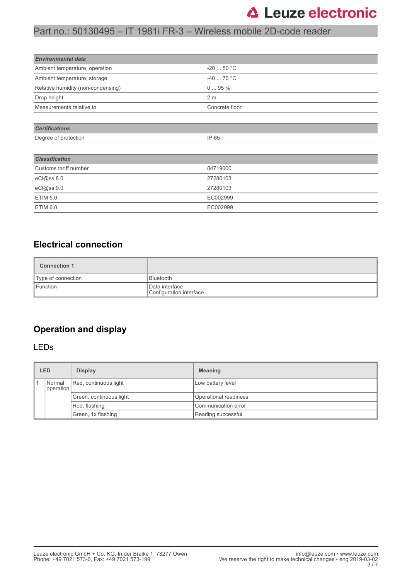## Part no.: 50130495 – IT 1981i FR-3 – Wireless mobile 2D-code reader

| <b>Environmental data</b>          |                |
|------------------------------------|----------------|
| Ambient temperature, operation     | $-2050$ °C     |
| Ambient temperature, storage       | $-4070 °C$     |
| Relative humidity (non-condensing) | $095\%$        |
| Drop height                        | 2 <sub>m</sub> |
| Measurements relative to           | Concrete floor |
|                                    |                |
| <b>Certifications</b>              |                |
| Degree of protection               | IP 65          |

| <b>Classification</b> |          |
|-----------------------|----------|
| Customs tariff number | 84719000 |
| eCl@ss 8.0            | 27280103 |
| eCl@ss 9.0            | 27280103 |
| <b>ETIM 5.0</b>       | EC002999 |
| ETIM 6.0              | EC002999 |

### **Electrical connection**

| <b>Connection 1</b> |                                           |
|---------------------|-------------------------------------------|
| Type of connection  | <b>Bluetooth</b>                          |
| I Function          | Data interface<br>Configuration interface |

### **Operation and display**

### LEDs

| <b>LED</b>            | <b>Display</b>          | <b>Meaning</b>        |
|-----------------------|-------------------------|-----------------------|
| Normal<br>  operation | Red, continuous light   | Low battery level     |
|                       | Green, continuous light | Operational readiness |
|                       | Red, flashing           | Communication error   |
|                       | Green, 1x flashing      | Reading successful    |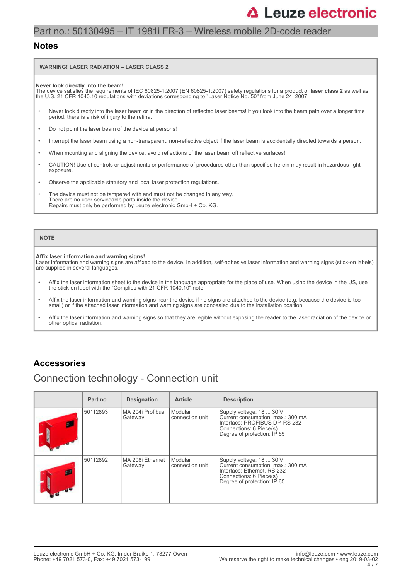### Part no.: 50130495 – IT 1981i FR-3 – Wireless mobile 2D-code reader

### **Notes**

#### **WARNING! LASER RADIATION – LASER CLASS 2**

**Never look directly into the beam!** The device satisfies the requirements of IEC 60825-1:2007 (EN 60825-1:2007) safety regulations for a product of **laser class 2** as well as the U.S. 21 CFR 1040.10 regulations with deviations corresponding to "Laser Notice No. 50" from June 24, 2007.

- Never look directly into the laser beam or in the direction of reflected laser beams! If you look into the beam path over a longer time period, there is a risk of injury to the retina.
- Do not point the laser beam of the device at persons!
- Interrupt the laser beam using a non-transparent, non-reflective object if the laser beam is accidentally directed towards a person.
- When mounting and aligning the device, avoid reflections of the laser beam off reflective surfaces!
- CAUTION! Use of controls or adjustments or performance of procedures other than specified herein may result in hazardous light exposure.
- Observe the applicable statutory and local laser protection regulations.
- The device must not be tampered with and must not be changed in any way. There are no user-serviceable parts inside the device. Repairs must only be performed by Leuze electronic GmbH + Co. KG.

#### **NOTE**

#### **Affix laser information and warning signs!**

Laser information and warning signs are affixed to the device. In addition, self-adhesive laser information and warning signs (stick-on labels) are supplied in several languages.

- Affix the laser information sheet to the device in the language appropriate for the place of use. When using the device in the US, use the stick-on label with the "Complies with 21 CFR 1040.10" note.
- Affix the laser information and warning signs near the device if no signs are attached to the device (e.g. because the device is too small) or if the attached laser information and warning signs are concealed due to the installation position.
- Affix the laser information and warning signs so that they are legible without exposing the reader to the laser radiation of the device or other optical radiation.

### **Accessories**

## Connection technology - Connection unit

| Part no. | <b>Designation</b>            | <b>Article</b>             | <b>Description</b>                                                                                                                                        |
|----------|-------------------------------|----------------------------|-----------------------------------------------------------------------------------------------------------------------------------------------------------|
| 50112893 | l MA 204i Profibus<br>Gateway | Modular<br>connection unit | Supply voltage: 18  30 V<br>Current consumption, max.: 300 mA<br>Interface: PROFIBUS DP, RS 232<br>Connections: 6 Piece(s)<br>Degree of protection: IP 65 |
| 50112892 | l MA 208i Ethernet<br>Gateway | Modular<br>connection unit | Supply voltage: 18  30 V<br>Current consumption, max.: 300 mA<br>Interface: Ethernet, RS 232<br>Connections: 6 Piece(s)<br>Degree of protection: IP 65    |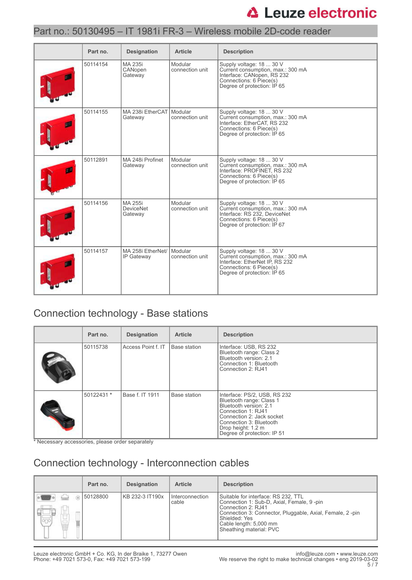### Part no.: 50130495 – IT 1981i FR-3 – Wireless mobile 2D-code reader

| Part no. | <b>Designation</b>                     | <b>Article</b>             | <b>Description</b>                                                                                                                                        |
|----------|----------------------------------------|----------------------------|-----------------------------------------------------------------------------------------------------------------------------------------------------------|
| 50114154 | MA 235i<br>CANopen<br>Gateway          | Modular<br>connection unit | Supply voltage: 18  30 V<br>Current consumption, max.: 300 mA<br>Interface: CANopen, RS 232<br>Connections: 6 Piece(s)<br>Degree of protection: IP 65     |
| 50114155 | MA 238i EtherCAT Modular<br>Gateway    | connection unit            | Supply voltage: 18  30 V<br>Current consumption, max.: 300 mA<br>Interface: EtherCAT, RS 232<br>Connections: 6 Piece(s)<br>Degree of protection: IP 65    |
| 50112891 | MA 248i Profinet<br>Gateway            | Modular<br>connection unit | Supply voltage: 18  30 V<br>Current consumption, max.: 300 mA<br>Interface: PROFINET, RS 232<br>Connections: 6 Piece(s)<br>Degree of protection: IP 65    |
| 50114156 | MA 255i<br><b>DeviceNet</b><br>Gateway | Modular<br>connection unit | Supply voltage: 18  30 V<br>Current consumption, max.: 300 mA<br>Interface: RS 232, DeviceNet<br>Connections: 6 Piece(s)<br>Degree of protection: IP 67   |
| 50114157 | MA 258i EtherNet/<br>IP Gateway        | Modular<br>connection unit | Supply voltage: 18  30 V<br>Current consumption, max.: 300 mA<br>Interface: EtherNet IP, RS 232<br>Connections: 6 Piece(s)<br>Degree of protection: IP 65 |

## Connection technology - Base stations

| Part no.   | <b>Designation</b> | <b>Article</b> | <b>Description</b>                                                                                                                                                                                                    |
|------------|--------------------|----------------|-----------------------------------------------------------------------------------------------------------------------------------------------------------------------------------------------------------------------|
| 50115738   | Access Point f. IT | Base station   | Interface: USB, RS 232<br>Bluetooth range: Class 2<br>Bluetooth version: 2.1<br>Connection 1: Bluetooth<br>Connection 2: RJ41                                                                                         |
| 50122431 * | Base f. IT 1911    | Base station   | Interface: PS/2, USB, RS 232<br>Bluetooth range: Class 1<br>Bluetooth version: 2.1<br>Connection 1: RJ41<br>Connection 2: Jack socket<br>Connection 3: Bluetooth<br>Drop height: 1.2 m<br>Degree of protection: IP 51 |

\* Necessary accessories, please order separately

## Connection technology - Interconnection cables

| Part no.          | <b>Designation</b> | <b>Article</b>           | <b>Description</b>                                                                                                                                                                                                                       |
|-------------------|--------------------|--------------------------|------------------------------------------------------------------------------------------------------------------------------------------------------------------------------------------------------------------------------------------|
| 50128800<br>logo, | KB 232-3 IT190x    | Interconnection<br>cable | Suitable for interface: RS 232, TTL<br>Connection 1: Sub-D, Axial, Female, 9-pin<br>Connection 2: RJ41<br>Connection 3: Connector, Pluggable, Axial, Female, 2-pin<br>Shielded: Yes<br>Cable length: 5,000 mm<br>Sheathing material: PVC |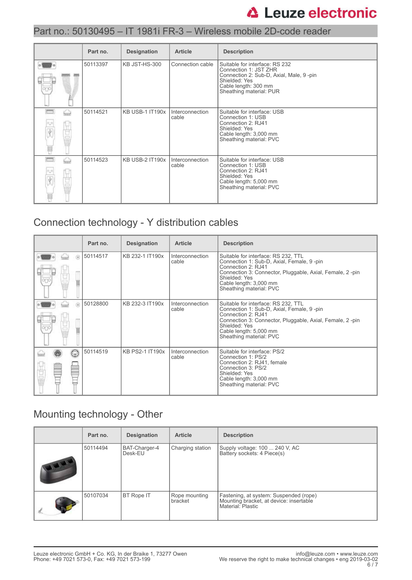### Part no.: 50130495 – IT 1981i FR-3 – Wireless mobile 2D-code reader

|      | Part no. | <b>Designation</b>     | <b>Article</b>           | <b>Description</b>                                                                                                                                                     |
|------|----------|------------------------|--------------------------|------------------------------------------------------------------------------------------------------------------------------------------------------------------------|
|      | 50113397 | KB JST-HS-300          | Connection cable         | Suitable for interface: RS 232<br>Connection 1: JST ZHR<br>Connection 2: Sub-D, Axial, Male, 9-pin<br>Shielded: Yes<br>Cable length: 300 mm<br>Sheathing material: PUR |
| hair | 50114521 | <b>KB USB-1 IT190x</b> | Interconnection<br>cable | Suitable for interface: USB<br>Connection 1: USB<br>Connection 2: RJ41<br>Shielded: Yes<br>Cable length: 3,000 mm<br>Sheathing material: PVC                           |
| ⇔    | 50114523 | KB USB-2 IT190x        | Interconnection<br>cable | Suitable for interface: USB<br>Connection 1: USB<br>Connection 2: RJ41<br>Shielded: Yes<br>Cable length: 5,000 mm<br>Sheathing material: PVC                           |

## Connection technology - Y distribution cables

|   | Part no. | <b>Designation</b>     | <b>Article</b>           | <b>Description</b>                                                                                                                                                                                                                       |
|---|----------|------------------------|--------------------------|------------------------------------------------------------------------------------------------------------------------------------------------------------------------------------------------------------------------------------------|
| 6 | 50114517 | KB 232-1 IT190x        | Interconnection<br>cable | Suitable for interface: RS 232, TTL<br>Connection 1: Sub-D, Axial, Female, 9-pin<br>Connection 2: RJ41<br>Connection 3: Connector, Pluggable, Axial, Female, 2-pin<br>Shielded: Yes<br>Cable length: 3,000 mm<br>Sheathing material: PVC |
| ெ | 50128800 | KB 232-3 IT190x        | Interconnection<br>cable | Suitable for interface: RS 232, TTL<br>Connection 1: Sub-D, Axial, Female, 9-pin<br>Connection 2: RJ41<br>Connection 3: Connector, Pluggable, Axial, Female, 2-pin<br>Shielded: Yes<br>Cable length: 5,000 mm<br>Sheathing material: PVC |
| œ | 50114519 | <b>KB PS2-1 IT190x</b> | Interconnection<br>cable | Suitable for interface: PS/2<br>Connection 1: PS/2<br>Connection 2: RJ41, female<br>Connection 3: PS/2<br>Shielded: Yes<br>Cable length: 3,000 mm<br>Sheathing material: PVC                                                             |

## Mounting technology - Other

|              | Part no. | <b>Designation</b>       | <b>Article</b>           | <b>Description</b>                                                                                     |
|--------------|----------|--------------------------|--------------------------|--------------------------------------------------------------------------------------------------------|
| <b>THEFT</b> | 50114494 | BAT-Charger-4<br>Desk-EU | Charging station         | Supply voltage: 100  240 V, AC<br>Battery sockets: 4 Piece(s)                                          |
|              | 50107034 | BT Rope IT               | Rope mounting<br>bracket | Fastening, at system: Suspended (rope)<br>Mounting bracket, at device: insertable<br>Material: Plastic |